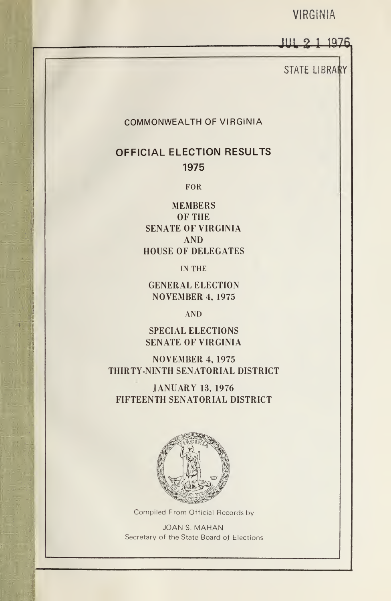# VIRGINIA

JUL 2 <sup>1</sup> 1976,

STATE LIBRARY

COMMONWEALTH OF VIRGINIA

## OFFICIAL ELECTION RESULTS 1975

FOR

MEMBERS OF THE SENATE OF VIRGINIA AND HOUSE OF DELEGATES

IN THE

GENERAL ELECTION NOVEMBER 4, 1975

AND

SPECIAL ELECTIONS SENATE OF VIRGINIA

NOVEMBER 4, 1975 THIRTY-NINTH SENATORIAL DISTRICT

JANUARY 13, 1976 FIFTEENTH SENATORIAL DISTRICT



Compiled From Official Records by

JOAN S. MAHAN Secretary of the State Board of Elections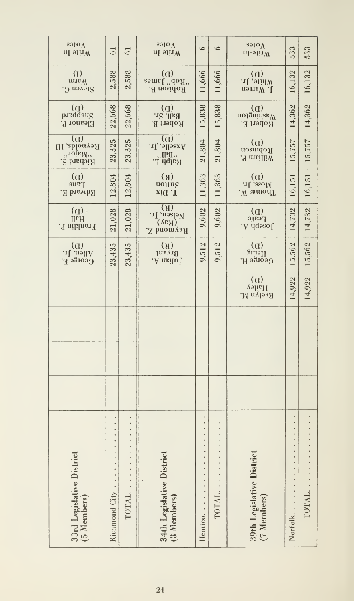| $s$ <sub>0</sub> $\Lambda$<br>Write-In                                                        | 61            | 61     | $\omega_V$<br>Write-In                                                | $\circ$    | $\circ$ | $s$ <sub>0</sub> $\alpha$<br>Write-In         | 533     | 533    |
|-----------------------------------------------------------------------------------------------|---------------|--------|-----------------------------------------------------------------------|------------|---------|-----------------------------------------------|---------|--------|
| $\rm (I)$<br>m <sub>arm</sub><br>Steven G.                                                    | 2,588         | 2,588  | (Q)<br>$square$ $\alpha$ <sub>c</sub> qo <sub>H</sub> ,<br>Robison B. | 11,666     | 11,666  | (D)<br>White, Jr.<br>J. Warren                | 16,132  | 16,132 |
| (Q)<br>braqqəng<br>Eleanor P.                                                                 | 22,668        | 22,668 | $\mathcal{L}(\Pi)$<br>Ball, Sr.<br>Robert B.                          | 15,838     | 15,838  | $\mathcal{L}(\Pi)$<br>Washington<br>Robert E. | 14,362  | 14,362 |
| $\mathcal{L}(\Pi)$<br>Reynolds, III<br>$\mathcal{L}^{\text{10fe}}$ <sup>1</sup><br>Richard S. | 23,325        | 23,325 | $\mathcal{L}(\Pi)$<br>Axselle, Jr.<br>$\alpha$ Il!g.,<br>Ralph L.     | ,804<br>21 | 21,804  | (U)<br>Robinson<br>. <sup>q</sup> msilliW     | 15,757  | 15,757 |
| $\mathcal{L}(\mathbf{Q})$<br>Lane.<br>Едмагd Е.                                               | 12,804        | 12,804 | (H)<br>uoµng<br>$xi$ Dix                                              | 11,363     | 11,363  | (Q)<br>Moss, Jr.<br>.W asmodT                 | 16,151  | 16,151 |
| $\mathcal{L}(\Pi)$<br>H <sub>a</sub><br>. I niblin P.                                         | 21,028        | 21,028 | (H)<br>Nelsen, Jr.<br>(AB)<br>Raymond Z.                              | 9,602      | 9,602   | (Q)<br>Leafe<br>Joseph A.                     | 14,732  | 14,732 |
| $\left( \Pi \right)$<br>Allen, Jr.<br>George <sup>R.</sup>                                    | 23,435        | 23,435 | (H)<br>Bryant<br>.A nsilul                                            | 9,512      | 9,512   | $\mathcal{L}(\Pi)$<br>Heilig<br>George H.     | 15,562  | 15,562 |
|                                                                                               |               |        |                                                                       |            |         | $\mathcal{L}(\Pi)$<br>Hailey<br>Evelyn M.     | 14,922  | 14,922 |
|                                                                                               |               |        |                                                                       |            |         |                                               |         |        |
|                                                                                               |               |        |                                                                       |            |         |                                               |         |        |
|                                                                                               |               |        |                                                                       |            |         |                                               |         |        |
| 33rd Legislative District<br>(5 Members)                                                      | Richmond City | TOTAL  | 34th Legislative District<br>(3 Members)                              | Henrico    | TOTAL.  | 39th Legislative District<br>(7 Members)      | Norfolk | TOTAL  |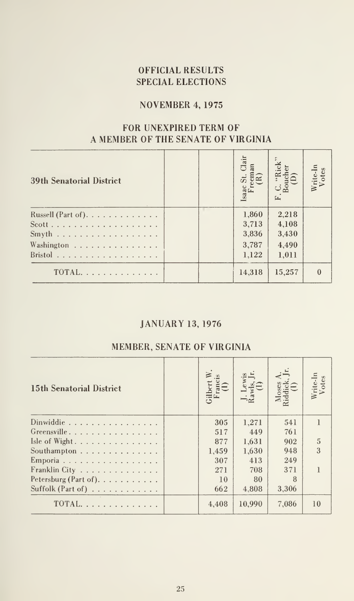## OFFICIAL RESULTS SPECIAL ELECTIONS

#### NOVEMBER 4, 1975

#### FOR UNEXPIRED TERM OF A MEMBER OF THE SENATE OF VIRGINIA

| <b>39th Senatorial District</b>                          | saa    | Rick<br>匞 | Write-In<br>Votes |
|----------------------------------------------------------|--------|-----------|-------------------|
| Russell (Part of). $\dots \dots \dots \dots$             | 1,860  | 2,218     |                   |
| $Scott \ldots \ldots \ldots \ldots \ldots \ldots \ldots$ | 3,713  | 4,108     |                   |
|                                                          | 3,836  | 3,430     |                   |
| Washington                                               | 3,787  | 4,490     |                   |
|                                                          | 1,122  | 1,011     |                   |
| $\text{TOTAL.} \ldots \ldots \ldots \ldots$              | 14,318 | 15,257    | $\theta$          |

## JANUARY 13,1976

## MEMBER, SENATE OF VIRGINIA

| 15th Senatorial District              |       |        |              | Write-In<br>Votes |
|---------------------------------------|-------|--------|--------------|-------------------|
| Dinwiddie                             | 305   | 1,271  | 541          |                   |
| Greensville.                          | 517   | 449    | 761          |                   |
| Isle of Wight.                        | 877   | 1.631  | 902          | 5                 |
| Southampton                           | 1.459 | 1,630  | 948          | 3                 |
| Emporia                               | 307   | 413    | 249          |                   |
| Franklin City                         | 271   | 708    | 371          |                   |
| Petersburg (Part of).                 | 10    | 80     | $\mathbf{R}$ |                   |
| Suffolk (Part of) $\dots \dots \dots$ | 662   | 4.808  | 3,306        |                   |
| TOTAL                                 | 4.408 | 10,990 | 7,086        | 10                |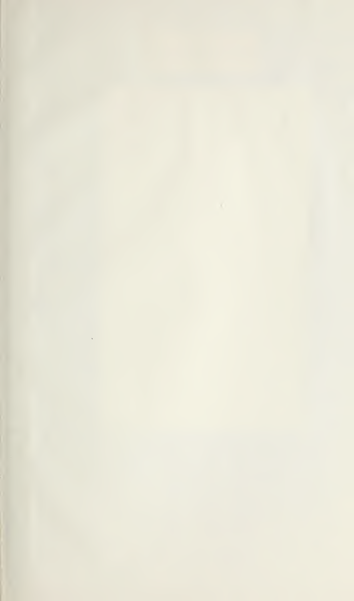